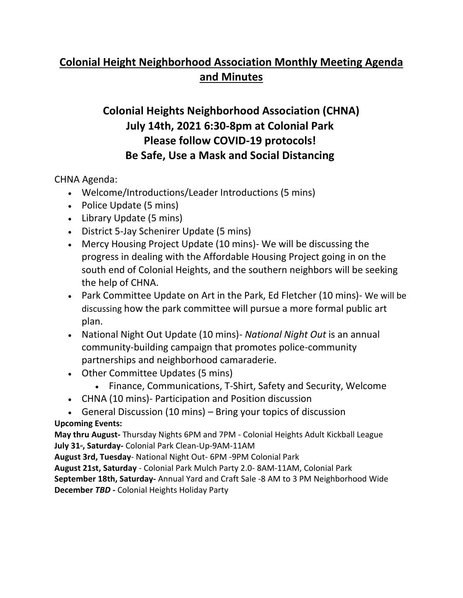# **Colonial Height Neighborhood Association Monthly Meeting Agenda and Minutes**

# **Colonial Heights Neighborhood Association (CHNA) July 14th, 2021 6:30-8pm at Colonial Park Please follow COVID-19 protocols! Be Safe, Use a Mask and Social Distancing**

CHNA Agenda:

- Welcome/Introductions/Leader Introductions (5 mins)
- Police Update (5 mins)
- Library Update (5 mins)
- District 5-Jay Schenirer Update (5 mins)
- Mercy Housing Project Update (10 mins)- We will be discussing the progress in dealing with the Affordable Housing Project going in on the south end of Colonial Heights, and the southern neighbors will be seeking the help of CHNA.
- Park Committee Update on Art in the Park, Ed Fletcher (10 mins)- We will be discussing how the park committee will pursue a more formal public art plan.
- National Night Out Update (10 mins)- *National Night Out* is an annual community-building campaign that promotes police-community partnerships and neighborhood camaraderie.
- Other Committee Updates (5 mins)
	- Finance, Communications, T-Shirt, Safety and Security, Welcome
- CHNA (10 mins)- Participation and Position discussion
- General Discussion (10 mins) Bring your topics of discussion **Upcoming Events:**

**May thru August-** Thursday Nights 6PM and 7PM - Colonial Heights Adult Kickball League July 31<sup>*s*</sup>, Saturday- Colonial Park Clean-Up-9AM-11AM

**August 3rd, Tuesday**- National Night Out- 6PM -9PM Colonial Park

**August 21st, Saturday** - Colonial Park Mulch Party 2.0- 8AM-11AM, Colonial Park **September 18th, Saturday-** Annual Yard and Craft Sale -8 AM to 3 PM Neighborhood Wide **December** *TBD -* Colonial Heights Holiday Party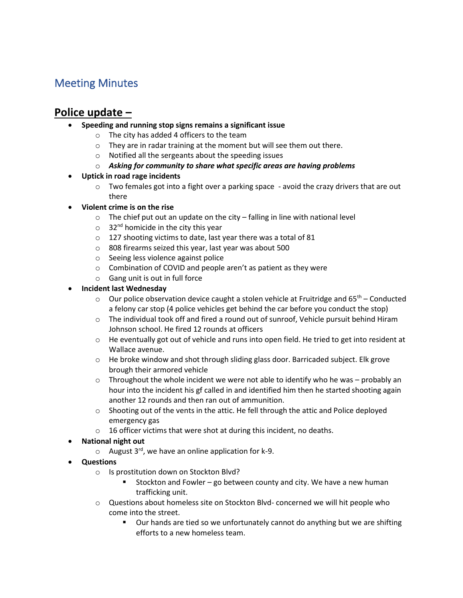## Meeting Minutes

#### **Police update –**

- **Speeding and running stop signs remains a significant issue** 
	- o The city has added 4 officers to the team
	- o They are in radar training at the moment but will see them out there.
	- o Notified all the sergeants about the speeding issues
	- o *Asking for community to share what specific areas are having problems*
- **Uptick in road rage incidents** 
	- $\circ$  Two females got into a fight over a parking space avoid the crazy drivers that are out there
- **Violent crime is on the rise** 
	- $\circ$  The chief put out an update on the city falling in line with national level
	- $\circ$  32<sup>nd</sup> homicide in the city this year
	- o 127 shooting victims to date, last year there was a total of 81
	- o 808 firearms seized this year, last year was about 500
	- o Seeing less violence against police
	- o Combination of COVID and people aren't as patient as they were
	- o Gang unit is out in full force

#### • **Incident last Wednesday**

- $\circ$  Our police observation device caught a stolen vehicle at Fruitridge and 65<sup>th</sup> Conducted a felony car stop (4 police vehicles get behind the car before you conduct the stop)
- o The individual took off and fired a round out of sunroof, Vehicle pursuit behind Hiram Johnson school. He fired 12 rounds at officers
- $\circ$  He eventually got out of vehicle and runs into open field. He tried to get into resident at Wallace avenue.
- $\circ$  He broke window and shot through sliding glass door. Barricaded subject. Elk grove brough their armored vehicle
- $\circ$  Throughout the whole incident we were not able to identify who he was probably an hour into the incident his gf called in and identified him then he started shooting again another 12 rounds and then ran out of ammunition.
- $\circ$  Shooting out of the vents in the attic. He fell through the attic and Police deployed emergency gas
- o 16 officer victims that were shot at during this incident, no deaths.
- **National night out**
	- $\circ$  August 3<sup>rd</sup>, we have an online application for k-9.
- **Questions** 
	- o Is prostitution down on Stockton Blvd?
		- Stockton and Fowler go between county and city. We have a new human trafficking unit.
	- o Questions about homeless site on Stockton Blvd- concerned we will hit people who come into the street.
		- Our hands are tied so we unfortunately cannot do anything but we are shifting efforts to a new homeless team.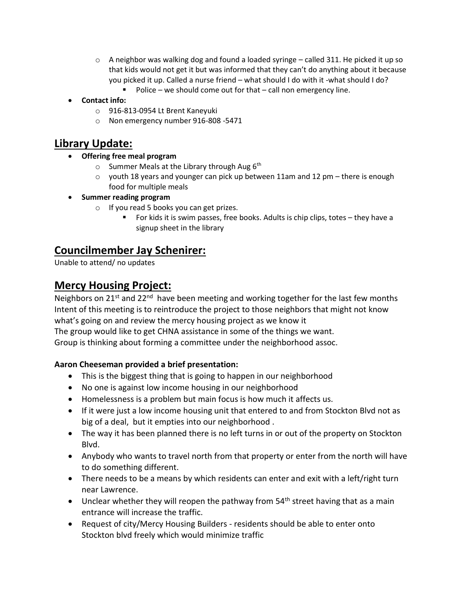- $\circ$  A neighbor was walking dog and found a loaded syringe called 311. He picked it up so that kids would not get it but was informed that they can't do anything about it because you picked it up. Called a nurse friend – what should I do with it -what should I do?
	- Police we should come out for that call non emergency line.
- **Contact info:**
	- o 916-813-0954 Lt Brent Kaneyuki
	- o Non emergency number 916-808 -5471

#### **Library Update:**

- **Offering free meal program**
	- $\circ$  Summer Meals at the Library through Aug 6<sup>th</sup>
	- $\circ$  youth 18 years and younger can pick up between 11am and 12 pm there is enough food for multiple meals
- **Summer reading program**
	- o If you read 5 books you can get prizes.
		- For kids it is swim passes, free books. Adults is chip clips, totes they have a signup sheet in the library

#### **Councilmember Jay Schenirer:**

Unable to attend/ no updates

#### **Mercy Housing Project:**

Neighbors on 21<sup>st</sup> and 22<sup>nd</sup> have been meeting and working together for the last few months Intent of this meeting is to reintroduce the project to those neighbors that might not know what's going on and review the mercy housing project as we know it

The group would like to get CHNA assistance in some of the things we want.

Group is thinking about forming a committee under the neighborhood assoc.

#### **Aaron Cheeseman provided a brief presentation:**

- This is the biggest thing that is going to happen in our neighborhood
- No one is against low income housing in our neighborhood
- Homelessness is a problem but main focus is how much it affects us.
- If it were just a low income housing unit that entered to and from Stockton Blvd not as big of a deal, but it empties into our neighborhood .
- The way it has been planned there is no left turns in or out of the property on Stockton Blvd.
- Anybody who wants to travel north from that property or enter from the north will have to do something different.
- There needs to be a means by which residents can enter and exit with a left/right turn near Lawrence.
- Unclear whether they will reopen the pathway from  $54<sup>th</sup>$  street having that as a main entrance will increase the traffic.
- Request of city/Mercy Housing Builders residents should be able to enter onto Stockton blvd freely which would minimize traffic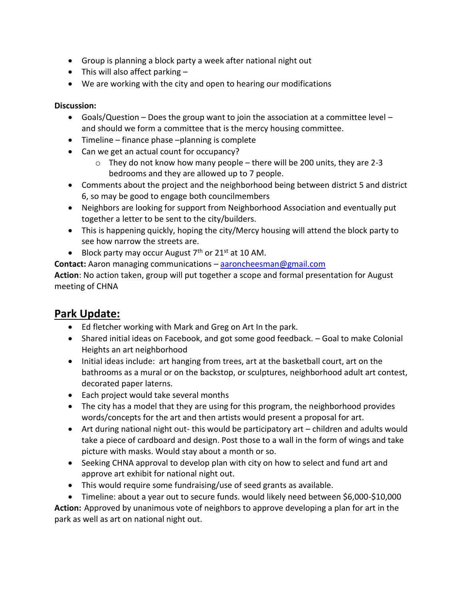- Group is planning a block party a week after national night out
- This will also affect parking  $-$
- We are working with the city and open to hearing our modifications

#### **Discussion:**

- Goals/Question Does the group want to join the association at a committee level and should we form a committee that is the mercy housing committee.
- Timeline finance phase –planning is complete
- Can we get an actual count for occupancy?
	- $\circ$  They do not know how many people there will be 200 units, they are 2-3 bedrooms and they are allowed up to 7 people.
- Comments about the project and the neighborhood being between district 5 and district 6, so may be good to engage both councilmembers
- Neighbors are looking for support from Neighborhood Association and eventually put together a letter to be sent to the city/builders.
- This is happening quickly, hoping the city/Mercy housing will attend the block party to see how narrow the streets are.
- Block party may occur August  $7<sup>th</sup>$  or 21<sup>st</sup> at 10 AM.

**Contact:** Aaron managing communications – [aaroncheesman@gmail.com](mailto:aaroncheesman@gmail.com)

**Action**: No action taken, group will put together a scope and formal presentation for August meeting of CHNA

## **Park Update:**

- Ed fletcher working with Mark and Greg on Art In the park.
- Shared initial ideas on Facebook, and got some good feedback. Goal to make Colonial Heights an art neighborhood
- Initial ideas include: art hanging from trees, art at the basketball court, art on the bathrooms as a mural or on the backstop, or sculptures, neighborhood adult art contest, decorated paper laterns.
- Each project would take several months
- The city has a model that they are using for this program, the neighborhood provides words/concepts for the art and then artists would present a proposal for art.
- Art during national night out- this would be participatory art children and adults would take a piece of cardboard and design. Post those to a wall in the form of wings and take picture with masks. Would stay about a month or so.
- Seeking CHNA approval to develop plan with city on how to select and fund art and approve art exhibit for national night out.
- This would require some fundraising/use of seed grants as available.
- Timeline: about a year out to secure funds. would likely need between \$6,000-\$10,000

**Action:** Approved by unanimous vote of neighbors to approve developing a plan for art in the park as well as art on national night out.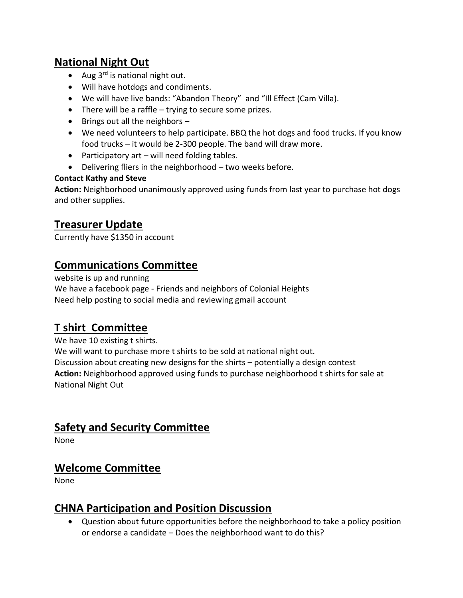## **National Night Out**

- Aug  $3<sup>rd</sup>$  is national night out.
- Will have hotdogs and condiments.
- We will have live bands: "Abandon Theory" and "Ill Effect (Cam Villa).
- There will be a raffle trying to secure some prizes.
- Brings out all the neighbors –
- We need volunteers to help participate. BBQ the hot dogs and food trucks. If you know food trucks – it would be 2-300 people. The band will draw more.
- Participatory art will need folding tables.
- Delivering fliers in the neighborhood two weeks before.

#### **Contact Kathy and Steve**

**Action:** Neighborhood unanimously approved using funds from last year to purchase hot dogs and other supplies.

## **Treasurer Update**

Currently have \$1350 in account

## **Communications Committee**

website is up and running We have a facebook page - Friends and neighbors of Colonial Heights Need help posting to social media and reviewing gmail account

# **T shirt Committee**

We have 10 existing t shirts.

We will want to purchase more t shirts to be sold at national night out. Discussion about creating new designs for the shirts – potentially a design contest **Action:** Neighborhood approved using funds to purchase neighborhood t shirts for sale at National Night Out

### **Safety and Security Committee**

None

### **Welcome Committee**

None

## **CHNA Participation and Position Discussion**

• Question about future opportunities before the neighborhood to take a policy position or endorse a candidate – Does the neighborhood want to do this?